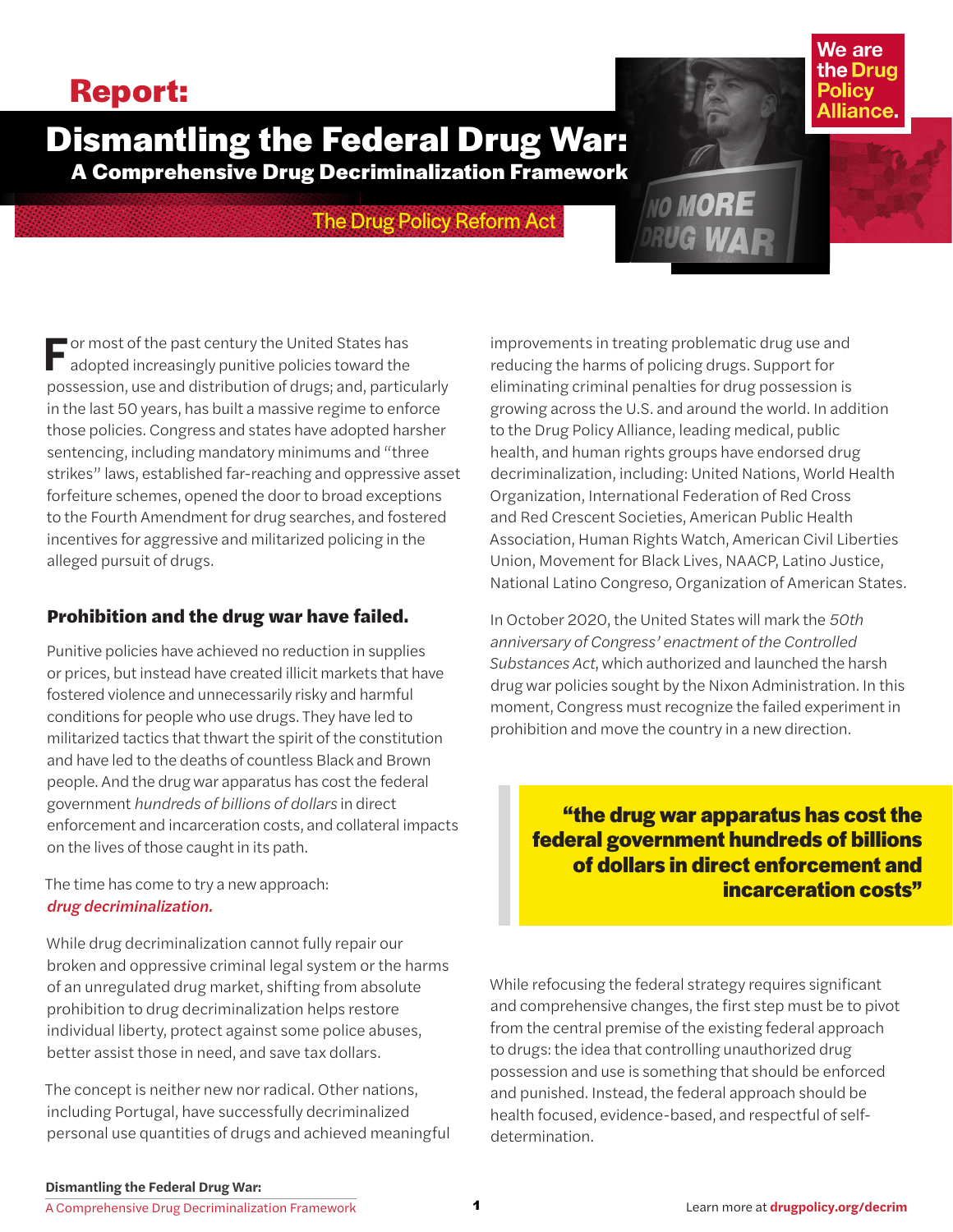# **Report:**

# **Dismantling the Federal Drug War: A Comprehensive Drug Decriminalization Framework**

# The Drug Policy Reform Act

**F***or most of the past century the United States has adopted increasingly punitive policies toward the possession, use and distribution of drugs; and, particularly in the last 50 years, has built a massive regime to enforce those policies. Congress and states have adopted harsher sentencing, including mandatory minimums and "three strikes" laws, established far-reaching and oppressive asset forfeiture schemes, opened the door to broad exceptions to the Fourth Amendment for drug searches, and fostered incentives for aggressive and militarized policing in the alleged pursuit of drugs.*

# Prohibition and the drug war have failed.

*Punitive policies have achieved no reduction in supplies or prices, but instead have created illicit markets that have fostered violence and unnecessarily risky and harmful conditions for people who use drugs. They have led to militarized tactics that thwart the spirit of the constitution and have led to the deaths of countless Black and Brown people. And the drug war apparatus has cost the federal government hundreds of billions of dollars in direct enforcement and incarceration costs, and collateral impacts on the lives of those caught in its path.*

*The time has come to try a new approach: drug decriminalization.*

*While drug decriminalization cannot fully repair our broken and oppressive criminal legal system or the harms of an unregulated drug market, shifting from absolute prohibition to drug decriminalization helps restore individual liberty, protect against some police abuses, better assist those in need, and save tax dollars.*

*The concept is neither new nor radical. Other nations, including Portugal, have successfully decriminalized personal use quantities of drugs and achieved meaningful*  *improvements in treating problematic drug use and reducing the harms of policing drugs. Support for eliminating criminal penalties for drug possession is growing across the U.S. and around the world. In addition to the Drug Policy Alliance, leading medical, public health, and human rights groups have endorsed drug decriminalization, including: United Nations, World Health Organization, International Federation of Red Cross and Red Crescent Societies, American Public Health Association, Human Rights Watch, American Civil Liberties Union, Movement for Black Lives, NAACP, Latino Justice, National Latino Congreso, Organization of American States.*

NO MORE

We are the Drug **Policy** Alliance

*In October 2020, the United States will mark the 50th anniversary of Congress' enactment of the Controlled Substances Act, which authorized and launched the harsh drug war policies sought by the Nixon Administration. In this moment, Congress must recognize the failed experiment in prohibition and move the country in a new direction.*

**"the drug war apparatus has cost the federal government hundreds of billions of dollars in direct enforcement and incarceration costs"**

*While refocusing the federal strategy requires significant and comprehensive changes, the first step must be to pivot from the central premise of the existing federal approach to drugs: the idea that controlling unauthorized drug possession and use is something that should be enforced and punished. Instead, the federal approach should be health focused, evidence-based, and respectful of selfdetermination.*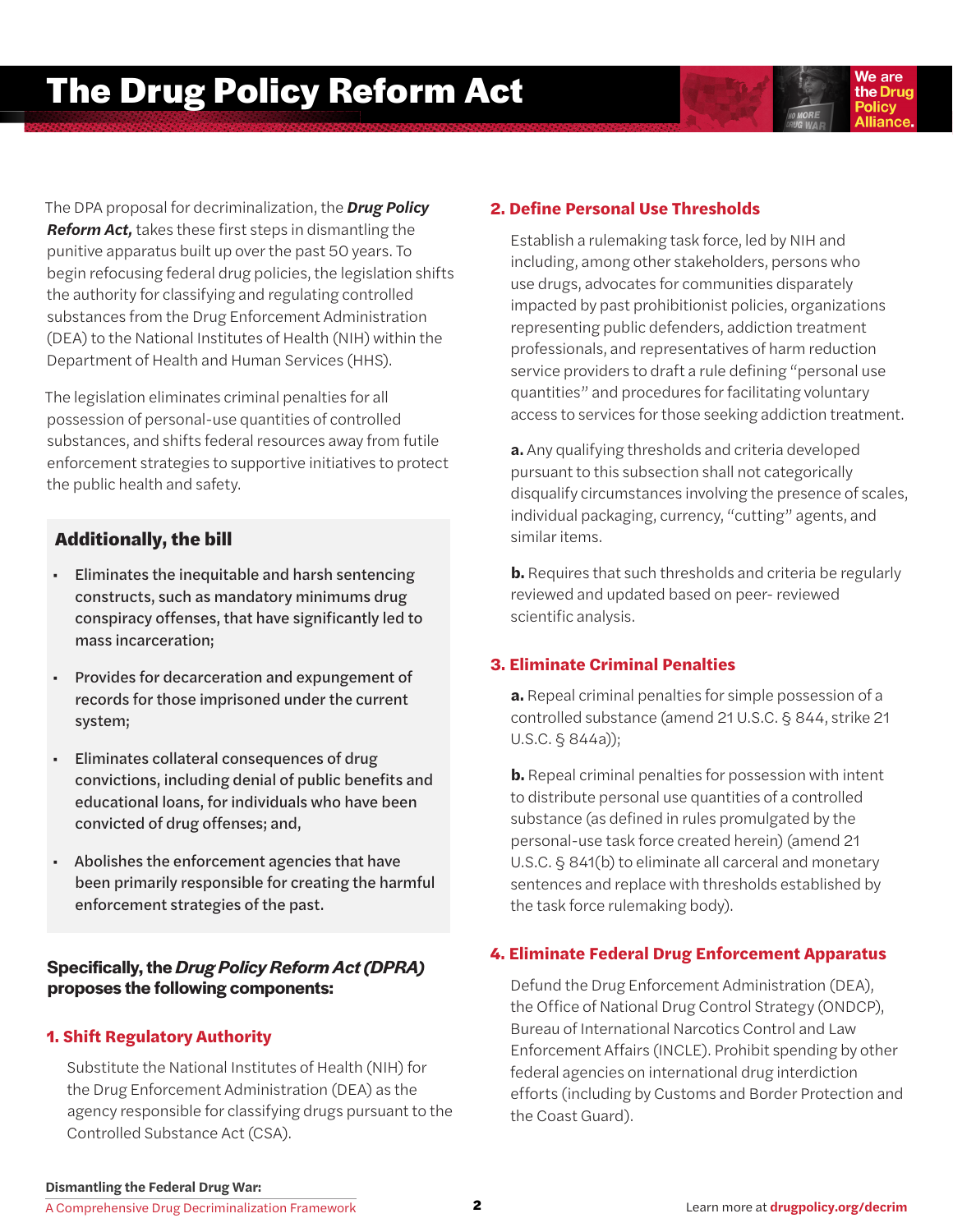We are the Drug **Policy** 

*The DPA proposal for decriminalization, the Drug Policy Reform Act, takes these first steps in dismantling the punitive apparatus built up over the past 50 years. To begin refocusing federal drug policies, the legislation shifts the authority for classifying and regulating controlled substances from the Drug Enforcement Administration (DEA) to the National Institutes of Health (NIH) within the Department of Health and Human Services (HHS).*

*The legislation eliminates criminal penalties for all possession of personal-use quantities of controlled substances, and shifts federal resources away from futile enforcement strategies to supportive initiatives to protect the public health and safety.* 

# Additionally, the bill

- Eliminates the inequitable and harsh sentencing constructs, such as mandatory minimums drug conspiracy offenses, that have significantly led to mass incarceration;
- Provides for decarceration and expungement of records for those imprisoned under the current system;
- Eliminates collateral consequences of drug convictions, including denial of public benefits and educational loans, for individuals who have been convicted of drug offenses; and,
- Abolishes the enforcement agencies that have been primarily responsible for creating the harmful enforcement strategies of the past.

# **Specifically, the** *Drug Policy Reform Act (DPRA)* **proposes the following components:**

# **1. Shift Regulatory Authority**

*Substitute the National Institutes of Health (NIH) for the Drug Enforcement Administration (DEA) as the agency responsible for classifying drugs pursuant to the Controlled Substance Act (CSA).*

# **2. Define Personal Use Thresholds**

*Establish a rulemaking task force, led by NIH and including, among other stakeholders, persons who use drugs, advocates for communities disparately impacted by past prohibitionist policies, organizations representing public defenders, addiction treatment professionals, and representatives of harm reduction service providers to draft a rule defining "personal use quantities" and procedures for facilitating voluntary access to services for those seeking addiction treatment.*

**a.** *Any qualifying thresholds and criteria developed pursuant to this subsection shall not categorically disqualify circumstances involving the presence of scales, individual packaging, currency, "cutting" agents, and similar items.*

**b.** *Requires that such thresholds and criteria be regularly reviewed and updated based on peer- reviewed scientific analysis.*

# **3. Eliminate Criminal Penalties**

**a.** *Repeal criminal penalties for simple possession of a controlled substance (amend 21 U.S.C. § 844, strike 21 U.S.C. § 844a));*

**b.** *Repeal criminal penalties for possession with intent to distribute personal use quantities of a controlled substance (as defined in rules promulgated by the personal-use task force created herein) (amend 21 U.S.C. § 841(b) to eliminate all carceral and monetary sentences and replace with thresholds established by the task force rulemaking body).*

# **4. Eliminate Federal Drug Enforcement Apparatus**

*Defund the Drug Enforcement Administration (DEA), the Office of National Drug Control Strategy (ONDCP), Bureau of International Narcotics Control and Law Enforcement Affairs (INCLE). Prohibit spending by other federal agencies on international drug interdiction efforts (including by Customs and Border Protection and the Coast Guard).*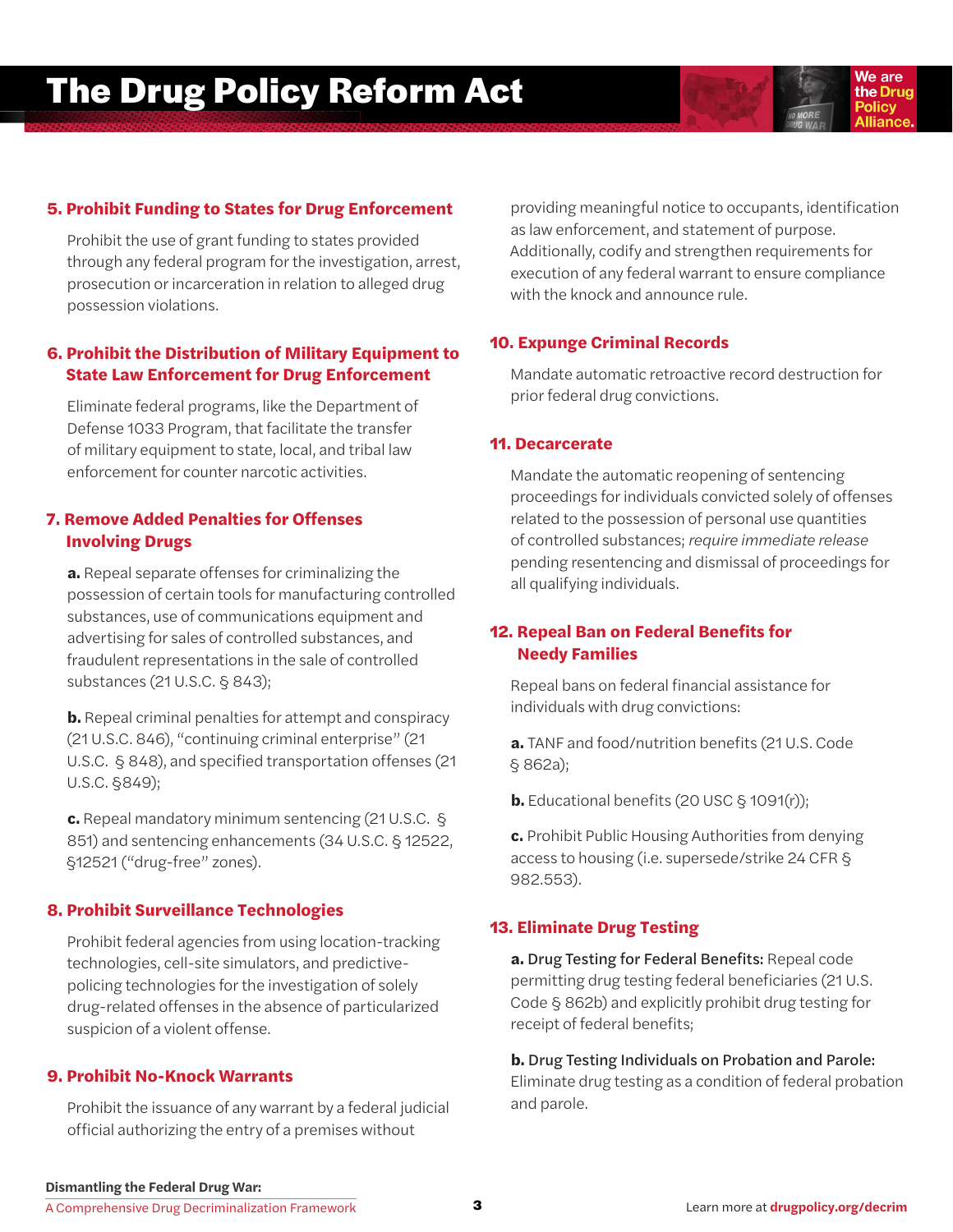# **The Drug Policy Reform Act**



# **5. Prohibit Funding to States for Drug Enforcement**

*Prohibit the use of grant funding to states provided through any federal program for the investigation, arrest, prosecution or incarceration in relation to alleged drug possession violations.*

# **6. Prohibit the Distribution of Military Equipment to State Law Enforcement for Drug Enforcement**

*Eliminate federal programs, like the Department of Defense 1033 Program, that facilitate the transfer of military equipment to state, local, and tribal law enforcement for counter narcotic activities.* 

#### **7. Remove Added Penalties for Offenses Involving Drugs**

**a.** *Repeal separate offenses for criminalizing the possession of certain tools for manufacturing controlled substances, use of communications equipment and advertising for sales of controlled substances, and fraudulent representations in the sale of controlled substances (21 U.S.C. § 843);*

**b.** *Repeal criminal penalties for attempt and conspiracy (21 U.S.C. 846), "continuing criminal enterprise" (21 U.S.C. § 848), and specified transportation offenses (21 U.S.C. §849);*

**c.** *Repeal mandatory minimum sentencing (21 U.S.C. § 851) and sentencing enhancements (34 U.S.C. § 12522, §12521 ("drug-free" zones).*

#### **8. Prohibit Surveillance Technologies**

*Prohibit federal agencies from using location-tracking technologies, cell-site simulators, and predictivepolicing technologies for the investigation of solely drug-related offenses in the absence of particularized suspicion of a violent offense.* 

#### **9. Prohibit No-Knock Warrants**

*Prohibit the issuance of any warrant by a federal judicial official authorizing the entry of a premises without* 

*providing meaningful notice to occupants, identification as law enforcement, and statement of purpose. Additionally, codify and strengthen requirements for execution of any federal warrant to ensure compliance with the knock and announce rule.*

#### **10. Expunge Criminal Records**

*Mandate automatic retroactive record destruction for prior federal drug convictions.*

#### **11. Decarcerate**

*Mandate the automatic reopening of sentencing proceedings for individuals convicted solely of offenses related to the possession of personal use quantities of controlled substances; require immediate release pending resentencing and dismissal of proceedings for all qualifying individuals.*

# **12. Repeal Ban on Federal Benefits for Needy Families**

*Repeal bans on federal financial assistance for individuals with drug convictions:* 

**a.** *TANF and food/nutrition benefits (21 U.S. Code § 862a);*

**b.** *Educational benefits (20 USC § 1091(r));*

**c.** *Prohibit Public Housing Authorities from denying access to housing (i.e. supersede/strike 24 CFR § 982.553).*

#### **13. Eliminate Drug Testing**

**a.** Drug Testing for Federal Benefits: *Repeal code permitting drug testing federal beneficiaries (21 U.S. Code § 862b) and explicitly prohibit drug testing for receipt of federal benefits;*

**b.** Drug Testing Individuals on Probation and Parole: *Eliminate drug testing as a condition of federal probation and parole.*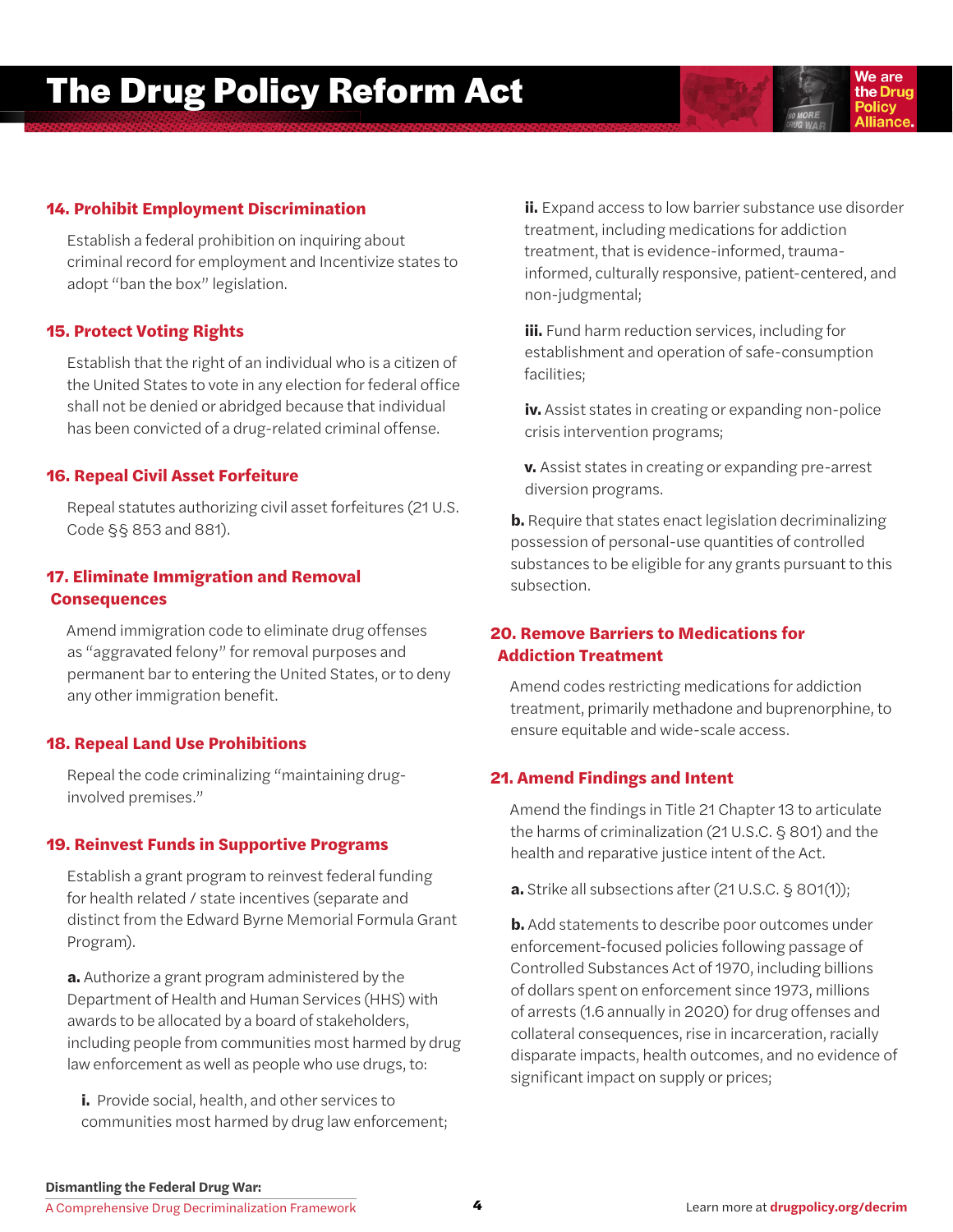# **14. Prohibit Employment Discrimination**

*Establish a federal prohibition on inquiring about criminal record for employment and Incentivize states to adopt "ban the box" legislation.* 

# **15. Protect Voting Rights**

*Establish that the right of an individual who is a citizen of the United States to vote in any election for federal office shall not be denied or abridged because that individual has been convicted of a drug-related criminal offense.* 

#### **16. Repeal Civil Asset Forfeiture**

*Repeal statutes authorizing civil asset forfeitures (21 U.S. Code §§ 853 and 881).*

# **17. Eliminate Immigration and Removal Consequences**

*Amend immigration code to eliminate drug offenses as "aggravated felony" for removal purposes and permanent bar to entering the United States, or to deny any other immigration benefit.*

# **18. Repeal Land Use Prohibitions**

*Repeal the code criminalizing "maintaining druginvolved premises."* 

#### **19. Reinvest Funds in Supportive Programs**

*Establish a grant program to reinvest federal funding for health related / state incentives (separate and distinct from the Edward Byrne Memorial Formula Grant Program).*

**a.** *Authorize a grant program administered by the Department of Health and Human Services (HHS) with awards to be allocated by a board of stakeholders, including people from communities most harmed by drug law enforcement as well as people who use drugs, to:* 

**i.** *Provide social, health, and other services to communities most harmed by drug law enforcement;*  **ii.** *Expand access to low barrier substance use disorder treatment, including medications for addiction treatment, that is evidence-informed, traumainformed, culturally responsive, patient-centered, and non-judgmental;* 

We are the Drug **Policy** 

**iii.** *Fund harm reduction services, including for establishment and operation of safe-consumption facilities;* 

**iv.** *Assist states in creating or expanding non-police crisis intervention programs;*

**v.** *Assist states in creating or expanding pre-arrest diversion programs.*

**b.** *Require that states enact legislation decriminalizing possession of personal-use quantities of controlled substances to be eligible for any grants pursuant to this subsection.*

# **20. Remove Barriers to Medications for Addiction Treatment**

*Amend codes restricting medications for addiction treatment, primarily methadone and buprenorphine, to ensure equitable and wide-scale access.* 

# **21. Amend Findings and Intent**

*Amend the findings in Title 21 Chapter 13 to articulate the harms of criminalization (21 U.S.C. § 801) and the health and reparative justice intent of the Act.*

**a.** *Strike all subsections after (21 U.S.C. § 801(1));*

**b.** *Add statements to describe poor outcomes under enforcement-focused policies following passage of Controlled Substances Act of 1970, including billions of dollars spent on enforcement since 1973, millions of arrests (1.6 annually in 2020) for drug offenses and collateral consequences, rise in incarceration, racially disparate impacts, health outcomes, and no evidence of significant impact on supply or prices;*